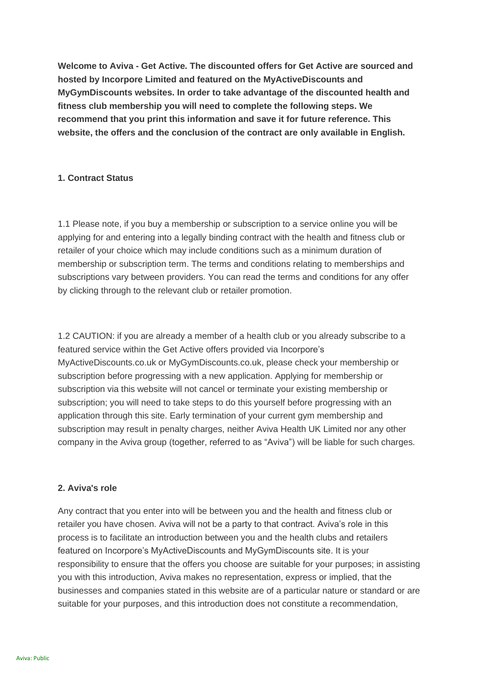**Welcome to Aviva - Get Active. The discounted offers for Get Active are sourced and hosted by Incorpore Limited and featured on the MyActiveDiscounts and MyGymDiscounts websites. In order to take advantage of the discounted health and fitness club membership you will need to complete the following steps. We recommend that you print this information and save it for future reference. This website, the offers and the conclusion of the contract are only available in English.**

# **1. Contract Status**

1.1 Please note, if you buy a membership or subscription to a service online you will be applying for and entering into a legally binding contract with the health and fitness club or retailer of your choice which may include conditions such as a minimum duration of membership or subscription term. The terms and conditions relating to memberships and subscriptions vary between providers. You can read the terms and conditions for any offer by clicking through to the relevant club or retailer promotion.

1.2 CAUTION: if you are already a member of a health club or you already subscribe to a featured service within the Get Active offers provided via Incorpore's MyActiveDiscounts.co.uk or MyGymDiscounts.co.uk, please check your membership or subscription before progressing with a new application. Applying for membership or subscription via this website will not cancel or terminate your existing membership or subscription; you will need to take steps to do this yourself before progressing with an application through this site. Early termination of your current gym membership and subscription may result in penalty charges, neither Aviva Health UK Limited nor any other company in the Aviva group (together, referred to as "Aviva") will be liable for such charges.

## **2. Aviva's role**

Any contract that you enter into will be between you and the health and fitness club or retailer you have chosen. Aviva will not be a party to that contract. Aviva's role in this process is to facilitate an introduction between you and the health clubs and retailers featured on Incorpore's MyActiveDiscounts and MyGymDiscounts site. It is your responsibility to ensure that the offers you choose are suitable for your purposes; in assisting you with this introduction, Aviva makes no representation, express or implied, that the businesses and companies stated in this website are of a particular nature or standard or are suitable for your purposes, and this introduction does not constitute a recommendation,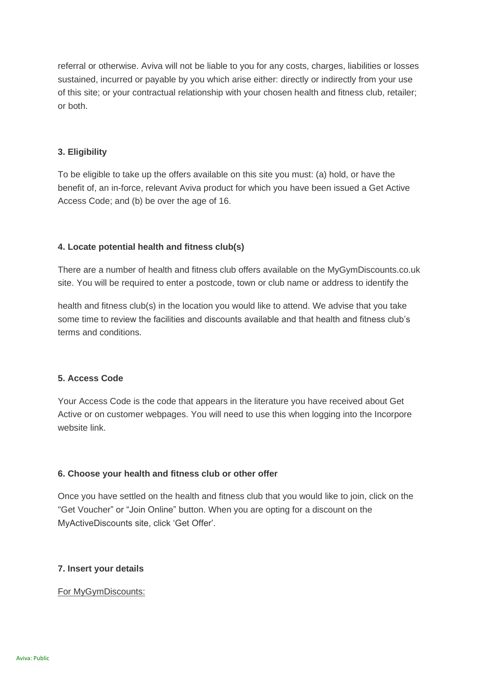referral or otherwise. Aviva will not be liable to you for any costs, charges, liabilities or losses sustained, incurred or payable by you which arise either: directly or indirectly from your use of this site; or your contractual relationship with your chosen health and fitness club, retailer; or both.

### **3. Eligibility**

To be eligible to take up the offers available on this site you must: (a) hold, or have the benefit of, an in-force, relevant Aviva product for which you have been issued a Get Active Access Code; and (b) be over the age of 16.

## **4. Locate potential health and fitness club(s)**

There are a number of health and fitness club offers available on the MyGymDiscounts.co.uk site. You will be required to enter a postcode, town or club name or address to identify the

health and fitness club(s) in the location you would like to attend. We advise that you take some time to review the facilities and discounts available and that health and fitness club's terms and conditions.

#### **5. Access Code**

Your Access Code is the code that appears in the literature you have received about Get Active or on customer webpages. You will need to use this when logging into the Incorpore website link.

## **6. Choose your health and fitness club or other offer**

Once you have settled on the health and fitness club that you would like to join, click on the "Get Voucher" or "Join Online" button. When you are opting for a discount on the MyActiveDiscounts site, click 'Get Offer'.

#### **7. Insert your details**

#### For MyGymDiscounts: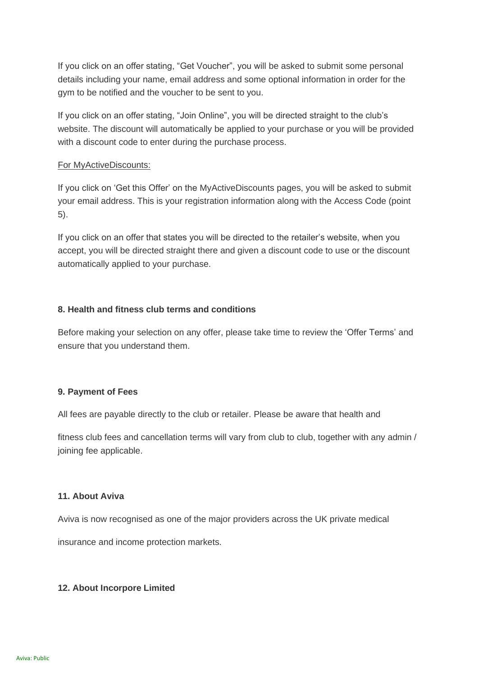If you click on an offer stating, "Get Voucher", you will be asked to submit some personal details including your name, email address and some optional information in order for the gym to be notified and the voucher to be sent to you.

If you click on an offer stating, "Join Online", you will be directed straight to the club's website. The discount will automatically be applied to your purchase or you will be provided with a discount code to enter during the purchase process.

### For MyActiveDiscounts:

If you click on 'Get this Offer' on the MyActiveDiscounts pages, you will be asked to submit your email address. This is your registration information along with the Access Code (point 5).

If you click on an offer that states you will be directed to the retailer's website, when you accept, you will be directed straight there and given a discount code to use or the discount automatically applied to your purchase.

## **8. Health and fitness club terms and conditions**

Before making your selection on any offer, please take time to review the 'Offer Terms' and ensure that you understand them.

## **9. Payment of Fees**

All fees are payable directly to the club or retailer. Please be aware that health and

fitness club fees and cancellation terms will vary from club to club, together with any admin / joining fee applicable.

## **11. About Aviva**

Aviva is now recognised as one of the major providers across the UK private medical

insurance and income protection markets.

## **12. About Incorpore Limited**